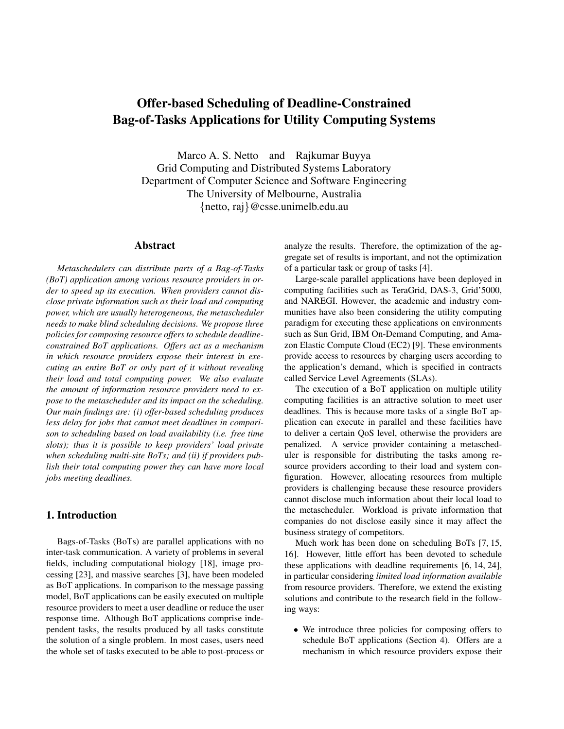# **Offer-based Scheduling of Deadline-Constrained Bag-of-Tasks Applications for Utility Computing Systems**

Marco A. S. Netto and Rajkumar Buyya Grid Computing and Distributed Systems Laboratory Department of Computer Science and Software Engineering The University of Melbourne, Australia {netto, raj}@csse.unimelb.edu.au

#### **Abstract**

*Metaschedulers can distribute parts of a Bag-of-Tasks (BoT) application among various resource providers in order to speed up its execution. When providers cannot disclose private information such as their load and computing power, which are usually heterogeneous, the metascheduler needs to make blind scheduling decisions. We propose three policies for composing resource offers to schedule deadlineconstrained BoT applications. Offers act as a mechanism in which resource providers expose their interest in executing an entire BoT or only part of it without revealing their load and total computing power. We also evaluate the amount of information resource providers need to expose to the metascheduler and its impact on the scheduling. Our main findings are: (i) offer-based scheduling produces less delay for jobs that cannot meet deadlines in comparison to scheduling based on load availability (i.e. free time slots); thus it is possible to keep providers' load private when scheduling multi-site BoTs; and (ii) if providers publish their total computing power they can have more local jobs meeting deadlines.*

# **1. Introduction**

Bags-of-Tasks (BoTs) are parallel applications with no inter-task communication. A variety of problems in several fields, including computational biology [18], image processing [23], and massive searches [3], have been modeled as BoT applications. In comparison to the message passing model, BoT applications can be easily executed on multiple resource providers to meet a user deadline or reduce the user response time. Although BoT applications comprise independent tasks, the results produced by all tasks constitute the solution of a single problem. In most cases, users need the whole set of tasks executed to be able to post-process or analyze the results. Therefore, the optimization of the aggregate set of results is important, and not the optimization of a particular task or group of tasks [4].

Large-scale parallel applications have been deployed in computing facilities such as TeraGrid, DAS-3, Grid'5000, and NAREGI. However, the academic and industry communities have also been considering the utility computing paradigm for executing these applications on environments such as Sun Grid, IBM On-Demand Computing, and Amazon Elastic Compute Cloud (EC2) [9]. These environments provide access to resources by charging users according to the application's demand, which is specified in contracts called Service Level Agreements (SLAs).

The execution of a BoT application on multiple utility computing facilities is an attractive solution to meet user deadlines. This is because more tasks of a single BoT application can execute in parallel and these facilities have to deliver a certain QoS level, otherwise the providers are penalized. A service provider containing a metascheduler is responsible for distributing the tasks among resource providers according to their load and system configuration. However, allocating resources from multiple providers is challenging because these resource providers cannot disclose much information about their local load to the metascheduler. Workload is private information that companies do not disclose easily since it may affect the business strategy of competitors.

Much work has been done on scheduling BoTs [7, 15, 16]. However, little effort has been devoted to schedule these applications with deadline requirements [6, 14, 24], in particular considering *limited load information available* from resource providers. Therefore, we extend the existing solutions and contribute to the research field in the following ways:

• We introduce three policies for composing offers to schedule BoT applications (Section 4). Offers are a mechanism in which resource providers expose their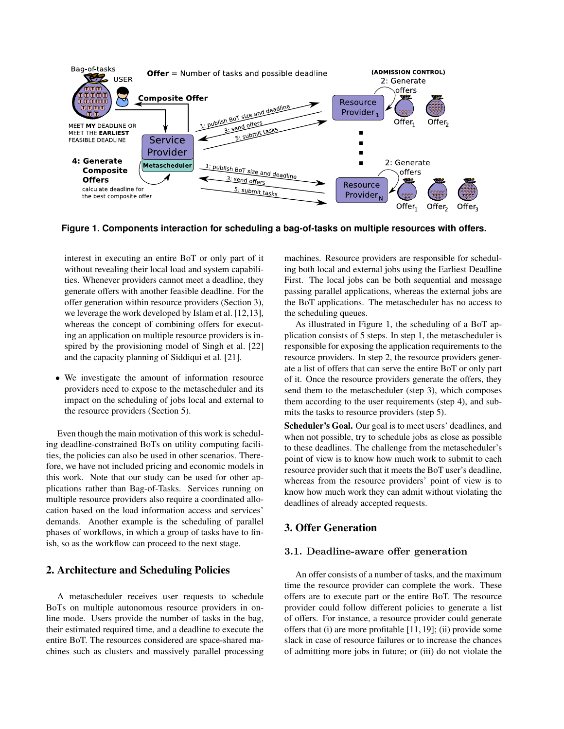

**Figure 1. Components interaction for scheduling a bag-of-tasks on multiple resources with offers.**

interest in executing an entire BoT or only part of it without revealing their local load and system capabilities. Whenever providers cannot meet a deadline, they generate offers with another feasible deadline. For the offer generation within resource providers (Section 3), we leverage the work developed by Islam et al. [12,13], whereas the concept of combining offers for executing an application on multiple resource providers is inspired by the provisioning model of Singh et al. [22] and the capacity planning of Siddiqui et al. [21].

• We investigate the amount of information resource providers need to expose to the metascheduler and its impact on the scheduling of jobs local and external to the resource providers (Section 5).

Even though the main motivation of this work is scheduling deadline-constrained BoTs on utility computing facilities, the policies can also be used in other scenarios. Therefore, we have not included pricing and economic models in this work. Note that our study can be used for other applications rather than Bag-of-Tasks. Services running on multiple resource providers also require a coordinated allocation based on the load information access and services' demands. Another example is the scheduling of parallel phases of workflows, in which a group of tasks have to finish, so as the workflow can proceed to the next stage.

## **2. Architecture and Scheduling Policies**

A metascheduler receives user requests to schedule BoTs on multiple autonomous resource providers in online mode. Users provide the number of tasks in the bag, their estimated required time, and a deadline to execute the entire BoT. The resources considered are space-shared machines such as clusters and massively parallel processing machines. Resource providers are responsible for scheduling both local and external jobs using the Earliest Deadline First. The local jobs can be both sequential and message passing parallel applications, whereas the external jobs are the BoT applications. The metascheduler has no access to the scheduling queues.

As illustrated in Figure 1, the scheduling of a BoT application consists of 5 steps. In step 1, the metascheduler is responsible for exposing the application requirements to the resource providers. In step 2, the resource providers generate a list of offers that can serve the entire BoT or only part of it. Once the resource providers generate the offers, they send them to the metascheduler (step 3), which composes them according to the user requirements (step 4), and submits the tasks to resource providers (step 5).

**Scheduler's Goal.** Our goal is to meet users' deadlines, and when not possible, try to schedule jobs as close as possible to these deadlines. The challenge from the metascheduler's point of view is to know how much work to submit to each resource provider such that it meets the BoT user's deadline, whereas from the resource providers' point of view is to know how much work they can admit without violating the deadlines of already accepted requests.

# **3. Offer Generation**

## 3.1. Deadline-aware offer generation

An offer consists of a number of tasks, and the maximum time the resource provider can complete the work. These offers are to execute part or the entire BoT. The resource provider could follow different policies to generate a list of offers. For instance, a resource provider could generate offers that (i) are more profitable [11, 19]; (ii) provide some slack in case of resource failures or to increase the chances of admitting more jobs in future; or (iii) do not violate the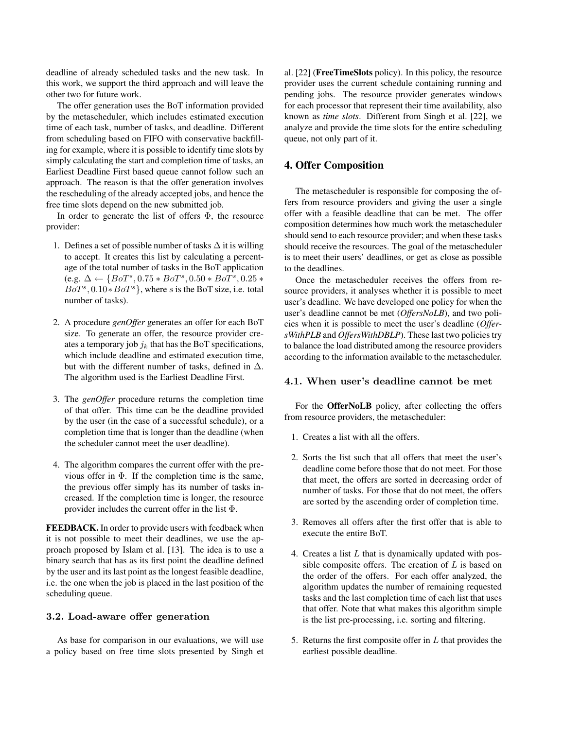deadline of already scheduled tasks and the new task. In this work, we support the third approach and will leave the other two for future work.

The offer generation uses the BoT information provided by the metascheduler, which includes estimated execution time of each task, number of tasks, and deadline. Different from scheduling based on FIFO with conservative backfilling for example, where it is possible to identify time slots by simply calculating the start and completion time of tasks, an Earliest Deadline First based queue cannot follow such an approach. The reason is that the offer generation involves the rescheduling of the already accepted jobs, and hence the free time slots depend on the new submitted job.

In order to generate the list of offers  $\Phi$ , the resource provider:

- 1. Defines a set of possible number of tasks  $\Delta$  it is willing to accept. It creates this list by calculating a percentage of the total number of tasks in the BoT application (e.g.  $\Delta \leftarrow \{BoT^s, 0.75 * BoT^s, 0.50 * BoT^s, 0.25 *$  $BoT<sup>s</sup>$ , 0.10\* $BoT<sup>s</sup>$ }, where s is the BoT size, i.e. total number of tasks).
- 2. A procedure *genOffer* generates an offer for each BoT size. To generate an offer, the resource provider creates a temporary job  $j_k$  that has the BoT specifications, which include deadline and estimated execution time, but with the different number of tasks, defined in  $\Delta$ . The algorithm used is the Earliest Deadline First.
- 3. The *genOffer* procedure returns the completion time of that offer. This time can be the deadline provided by the user (in the case of a successful schedule), or a completion time that is longer than the deadline (when the scheduler cannot meet the user deadline).
- 4. The algorithm compares the current offer with the previous offer in  $\Phi$ . If the completion time is the same, the previous offer simply has its number of tasks increased. If the completion time is longer, the resource provider includes the current offer in the list Φ.

**FEEDBACK.** In order to provide users with feedback when it is not possible to meet their deadlines, we use the approach proposed by Islam et al. [13]. The idea is to use a binary search that has as its first point the deadline defined by the user and its last point as the longest feasible deadline, i.e. the one when the job is placed in the last position of the scheduling queue.

### 3.2. Load-aware offer generation

As base for comparison in our evaluations, we will use a policy based on free time slots presented by Singh et

al. [22] (**FreeTimeSlots** policy). In this policy, the resource provider uses the current schedule containing running and pending jobs. The resource provider generates windows for each processor that represent their time availability, also known as *time slots*. Different from Singh et al. [22], we analyze and provide the time slots for the entire scheduling queue, not only part of it.

## **4. Offer Composition**

The metascheduler is responsible for composing the offers from resource providers and giving the user a single offer with a feasible deadline that can be met. The offer composition determines how much work the metascheduler should send to each resource provider; and when these tasks should receive the resources. The goal of the metascheduler is to meet their users' deadlines, or get as close as possible to the deadlines.

Once the metascheduler receives the offers from resource providers, it analyses whether it is possible to meet user's deadline. We have developed one policy for when the user's deadline cannot be met (*OffersNoLB*), and two policies when it is possible to meet the user's deadline (*OffersWithPLB* and *OffersWithDBLP*). These last two policies try to balance the load distributed among the resource providers according to the information available to the metascheduler.

#### 4.1. When user's deadline cannot be met

For the **OfferNoLB** policy, after collecting the offers from resource providers, the metascheduler:

- 1. Creates a list with all the offers.
- 2. Sorts the list such that all offers that meet the user's deadline come before those that do not meet. For those that meet, the offers are sorted in decreasing order of number of tasks. For those that do not meet, the offers are sorted by the ascending order of completion time.
- 3. Removes all offers after the first offer that is able to execute the entire BoT.
- 4. Creates a list L that is dynamically updated with possible composite offers. The creation of  $L$  is based on the order of the offers. For each offer analyzed, the algorithm updates the number of remaining requested tasks and the last completion time of each list that uses that offer. Note that what makes this algorithm simple is the list pre-processing, i.e. sorting and filtering.
- 5. Returns the first composite offer in  $L$  that provides the earliest possible deadline.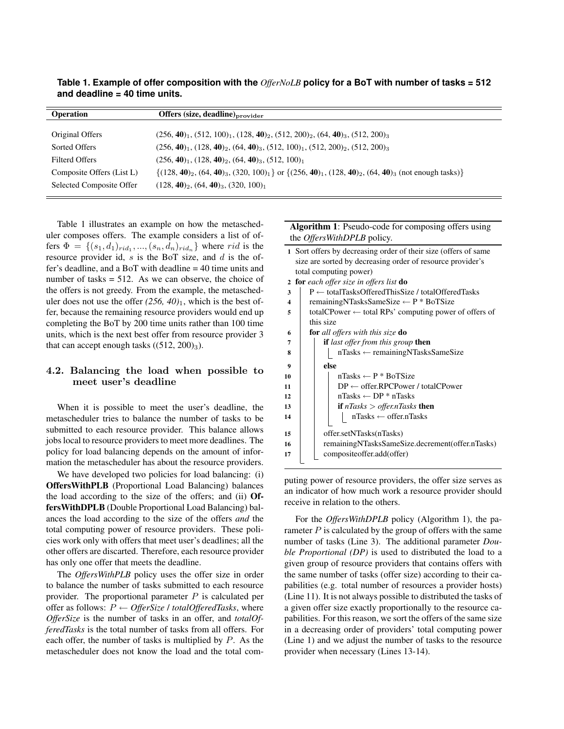**Table 1. Example of offer composition with the** *OfferNoLB* **policy for a BoT with number of tasks = 512 and deadline = 40 time units.**

| <b>Operation</b>          | Offers (size, deadline) $_{\rm{provider}}$                                                                    |  |  |  |  |
|---------------------------|---------------------------------------------------------------------------------------------------------------|--|--|--|--|
|                           |                                                                                                               |  |  |  |  |
| Original Offers           | $(256, 40)_1$ , $(512, 100)_1$ , $(128, 40)_2$ , $(512, 200)_2$ , $(64, 40)_3$ , $(512, 200)_3$               |  |  |  |  |
| Sorted Offers             | $(256, 40)_1$ , $(128, 40)_2$ , $(64, 40)_3$ , $(512, 100)_1$ , $(512, 200)_2$ , $(512, 200)_3$               |  |  |  |  |
| Filterd Offers            | $(256, 40)_1$ , $(128, 40)_2$ , $(64, 40)_3$ , $(512, 100)_1$                                                 |  |  |  |  |
| Composite Offers (List L) | $\{(128, 40)_2, (64, 40)_3, (320, 100)_1\}$ or $\{(256, 40)_1, (128, 40)_2, (64, 40)_3 \}$ (not enough tasks) |  |  |  |  |
| Selected Composite Offer  | $(128, 40)_2, (64, 40)_3, (320, 100)_1$                                                                       |  |  |  |  |

Table 1 illustrates an example on how the metascheduler composes offers. The example considers a list of offers  $\Phi = \{(s_1, d_1)_{rid_1}, ..., (s_n, d_n)_{rid_n}\}\$  where rid is the resource provider id,  $s$  is the BoT size, and  $d$  is the offer's deadline, and a BoT with deadline = 40 time units and number of tasks  $= 512$ . As we can observe, the choice of the offers is not greedy. From the example, the metascheduler does not use the offer *(256, 40)*1, which is the best offer, because the remaining resource providers would end up completing the BoT by 200 time units rather than 100 time units, which is the next best offer from resource provider 3 that can accept enough tasks  $((512, 200)<sub>3</sub>)$ .

## 4.2. Balancing the load when possible to meet user's deadline

When it is possible to meet the user's deadline, the metascheduler tries to balance the number of tasks to be submitted to each resource provider. This balance allows jobs local to resource providers to meet more deadlines. The policy for load balancing depends on the amount of information the metascheduler has about the resource providers.

We have developed two policies for load balancing: (i) **OffersWithPLB** (Proportional Load Balancing) balances the load according to the size of the offers; and (ii) **OffersWithDPLB** (Double Proportional Load Balancing) balances the load according to the size of the offers *and* the total computing power of resource providers. These policies work only with offers that meet user's deadlines; all the other offers are discarted. Therefore, each resource provider has only one offer that meets the deadline.

The *OffersWithPLB* policy uses the offer size in order to balance the number of tasks submitted to each resource provider. The proportional parameter  $P$  is calculated per offer as follows:  $P \leftarrow$  *OfferSize* / *totalOfferedTasks*, where *OfferSize* is the number of tasks in an offer, and *totalOfferedTasks* is the total number of tasks from all offers. For each offer, the number of tasks is multiplied by P. As the metascheduler does not know the load and the total com**Algorithm 1**: Pseudo-code for composing offers using the *OffersWithDPLB* policy.

- **1** Sort offers by decreasing order of their size (offers of same size are sorted by decreasing order of resource provider's total computing power)
- **2 for** *each offer size in offers list* **do**
- **3** P ← totalTasksOfferedThisSize / totalOfferedTasks
- **4** remainingNTasksSameSize  $\leftarrow$  P \* BoTSize
- **5** totalCPower ← total RPs' computing power of offers of this size
- **6 for** *all offers with this size* **do**

| 7                | <b>if</b> last offer from this group <b>then</b> |  |  |  |  |
|------------------|--------------------------------------------------|--|--|--|--|
| 8                | $nTasks \leftarrow remainingNTasksSameSize$      |  |  |  |  |
| $\boldsymbol{9}$ | else                                             |  |  |  |  |
| 10               | $nTasks \leftarrow P * BoTSize$                  |  |  |  |  |
| 11               | $DP \leftarrow$ offer RPCPower / total CPower    |  |  |  |  |
| 12               | $nTasks \leftarrow DP * nTasks$                  |  |  |  |  |
| 13               | <b>if</b> $nTasks >$ offer.nTasks <b>then</b>    |  |  |  |  |
| 14               | $nTasks \leftarrow offer.nTasks$                 |  |  |  |  |
| 15               | offer.setNTasks(nTasks)                          |  |  |  |  |
| 16               | remainingNTasksSameSize.decrement(offer.nTasks)  |  |  |  |  |
| 17               | composite offer.add(offer)                       |  |  |  |  |
|                  |                                                  |  |  |  |  |

puting power of resource providers, the offer size serves as an indicator of how much work a resource provider should receive in relation to the others.

For the *OffersWithDPLB* policy (Algorithm 1), the parameter  $P$  is calculated by the group of offers with the same number of tasks (Line 3). The additional parameter *Double Proportional (DP)* is used to distributed the load to a given group of resource providers that contains offers with the same number of tasks (offer size) according to their capabilities (e.g. total number of resources a provider hosts) (Line 11). It is not always possible to distributed the tasks of a given offer size exactly proportionally to the resource capabilities. For this reason, we sort the offers of the same size in a decreasing order of providers' total computing power (Line 1) and we adjust the number of tasks to the resource provider when necessary (Lines 13-14).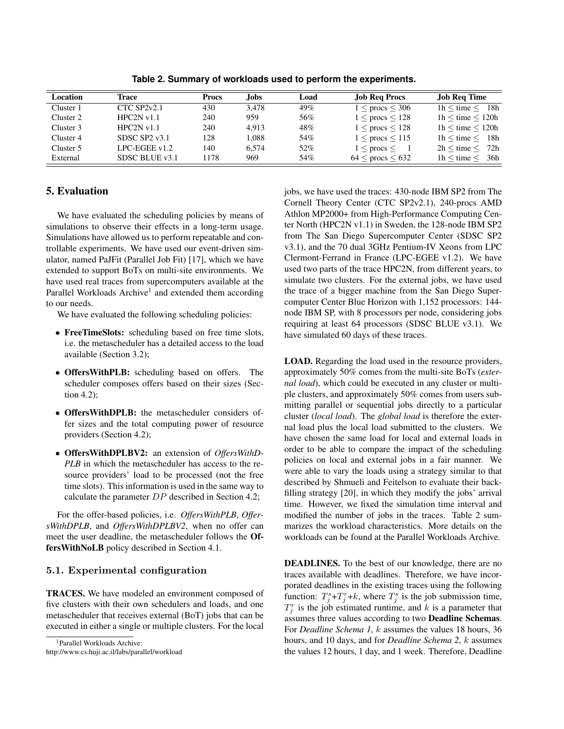| <b>Location</b> | Trace               | <b>Procs</b> | Jobs. | Load | <b>Job Req Procs</b>        | Job Req Time               |
|-----------------|---------------------|--------------|-------|------|-----------------------------|----------------------------|
| Cluster 1       | $CTC$ SP2 $v2.1$    | 430          | 3.478 | 49%  | $1 < \text{process} < 306$  | $1h \leq$ time $\leq 18h$  |
| Cluster 2       | HPC2N v1.1          | 240          | 959   | 56%  | $1 < \text{process} < 128$  | $1h \leq$ time $\leq 120h$ |
| Cluster 3       | HPC2N v1.1          | 240          | 4.913 | 48%  | $1 <$ procs $<$ 128         | $1h \leq$ time $\leq 120h$ |
| Cluster 4       | SDSC SP $2$ v $3.1$ | 128          | 1.088 | 54%  | $1 < \text{process} < 115$  | $1h \leq$ time $\leq 18h$  |
| Cluster 5       | $LPC$ -EGEE v1.2    | 140          | 6.574 | 52%  | $1 < \text{process} <$      | $2h \leq t$ ime $\leq 72h$ |
| External        | SDSC BLUE v3.1      | 1178         | 969   | 54%  | $64 < \text{process} < 632$ | $1h \leq$ time $\leq 36h$  |

**Table 2. Summary of workloads used to perform the experiments.**

## **5. Evaluation**

We have evaluated the scheduling policies by means of simulations to observe their effects in a long-term usage. Simulations have allowed us to perform repeatable and controllable experiments. We have used our event-driven simulator, named PaJFit (Parallel Job Fit) [17], which we have extended to support BoTs on multi-site environments. We have used real traces from supercomputers available at the Parallel Workloads Archive<sup>1</sup> and extended them according to our needs.

We have evaluated the following scheduling policies:

- **FreeTimeSlots:** scheduling based on free time slots, i.e. the metascheduler has a detailed access to the load available (Section 3.2);
- **OffersWithPLB:** scheduling based on offers. The scheduler composes offers based on their sizes (Section 4.2);
- **OffersWithDPLB:** the metascheduler considers offer sizes and the total computing power of resource providers (Section 4.2);
- **OffersWithDPLBV2:** an extension of *OffersWithD-PLB* in which the metascheduler has access to the resource providers' load to be processed (not the free time slots). This information is used in the same way to calculate the parameter DP described in Section 4.2;

For the offer-based policies, i.e. *OffersWithPLB*, *OffersWithDPLB*, and *OffersWithDPLBV2*, when no offer can meet the user deadline, the metascheduler follows the **OffersWithNoLB** policy described in Section 4.1.

#### 5.1. Experimental configuration

**TRACES.** We have modeled an environment composed of five clusters with their own schedulers and loads, and one metascheduler that receives external (BoT) jobs that can be executed in either a single or multiple clusters. For the local

<sup>1</sup>Parallel Workloads Archive:

http://www.cs.huji.ac.il/labs/parallel/workload

jobs, we have used the traces: 430-node IBM SP2 from The Cornell Theory Center (CTC SP2v2.1), 240-procs AMD Athlon MP2000+ from High-Performance Computing Center North (HPC2N v1.1) in Sweden, the 128-node IBM SP2 from The San Diego Supercomputer Center (SDSC SP2 v3.1), and the 70 dual 3GHz Pentium-IV Xeons from LPC Clermont-Ferrand in France (LPC-EGEE v1.2). We have used two parts of the trace HPC2N, from different years, to simulate two clusters. For the external jobs, we have used the trace of a bigger machine from the San Diego Supercomputer Center Blue Horizon with 1,152 processors: 144 node IBM SP, with 8 processors per node, considering jobs requiring at least 64 processors (SDSC BLUE v3.1). We have simulated 60 days of these traces.

**LOAD.** Regarding the load used in the resource providers, approximately 50% comes from the multi-site BoTs (*external load*), which could be executed in any cluster or multiple clusters, and approximately 50% comes from users submitting parallel or sequential jobs directly to a particular cluster (*local load*). The *global load* is therefore the external load plus the local load submitted to the clusters. We have chosen the same load for local and external loads in order to be able to compare the impact of the scheduling policies on local and external jobs in a fair manner. We were able to vary the loads using a strategy similar to that described by Shmueli and Feitelson to evaluate their backfilling strategy [20], in which they modify the jobs' arrival time. However, we fixed the simulation time interval and modified the number of jobs in the traces. Table 2 summarizes the workload characteristics. More details on the workloads can be found at the Parallel Workloads Archive.

**DEADLINES.** To the best of our knowledge, there are no traces available with deadlines. Therefore, we have incorporated deadlines in the existing traces using the following function:  $T_j^s + T_j^r + k$ , where  $T_j^s$  is the job submission time,  $T_j^r$  is the job estimated runtime, and k is a parameter that assumes three values according to two **Deadline Schemas**. For *Deadline Schema 1*, k assumes the values 18 hours, 36 hours, and 10 days, and for *Deadline Schema 2*, k assumes the values 12 hours, 1 day, and 1 week. Therefore, Deadline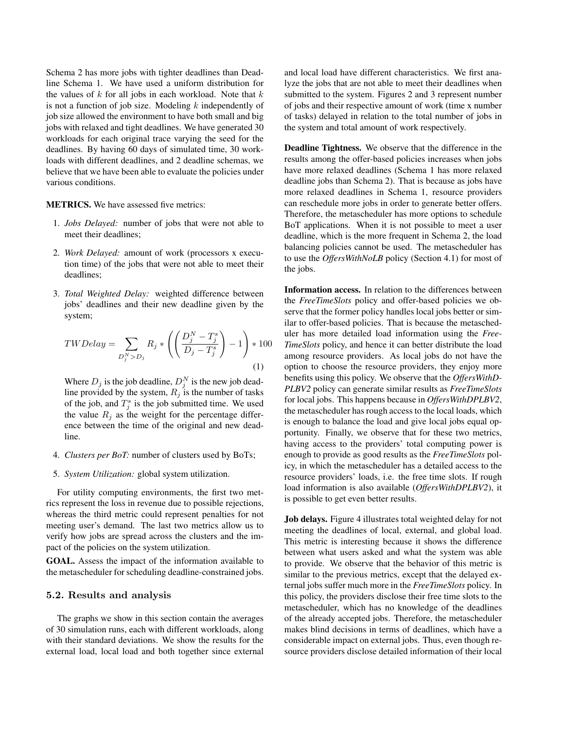Schema 2 has more jobs with tighter deadlines than Deadline Schema 1. We have used a uniform distribution for the values of  $k$  for all jobs in each workload. Note that  $k$ is not a function of job size. Modeling  $k$  independently of job size allowed the environment to have both small and big jobs with relaxed and tight deadlines. We have generated 30 workloads for each original trace varying the seed for the deadlines. By having 60 days of simulated time, 30 workloads with different deadlines, and 2 deadline schemas, we believe that we have been able to evaluate the policies under various conditions.

**METRICS.** We have assessed five metrics:

- 1. *Jobs Delayed:* number of jobs that were not able to meet their deadlines;
- 2. *Work Delayed:* amount of work (processors x execution time) of the jobs that were not able to meet their deadlines;
- 3. *Total Weighted Delay:* weighted difference between jobs' deadlines and their new deadline given by the system;

$$
TWDelay = \sum_{D_j^N > D_j} R_j * \left( \left( \frac{D_j^N - T_j^s}{D_j - T_j^s} \right) - 1 \right) * 100
$$
\n
$$
\tag{1}
$$

Where  $D_j$  is the job deadline,  $D_j^N$  is the new job deadline provided by the system,  $R_j$  is the number of tasks of the job, and  $T_j^s$  is the job submitted time. We used the value  $R_j$  as the weight for the percentage difference between the time of the original and new deadline.

- 4. *Clusters per BoT:* number of clusters used by BoTs;
- 5. *System Utilization:* global system utilization.

For utility computing environments, the first two metrics represent the loss in revenue due to possible rejections, whereas the third metric could represent penalties for not meeting user's demand. The last two metrics allow us to verify how jobs are spread across the clusters and the impact of the policies on the system utilization.

**GOAL.** Assess the impact of the information available to the metascheduler for scheduling deadline-constrained jobs.

#### 5.2. Results and analysis

The graphs we show in this section contain the averages of 30 simulation runs, each with different workloads, along with their standard deviations. We show the results for the external load, local load and both together since external and local load have different characteristics. We first analyze the jobs that are not able to meet their deadlines when submitted to the system. Figures 2 and 3 represent number of jobs and their respective amount of work (time x number of tasks) delayed in relation to the total number of jobs in the system and total amount of work respectively.

**Deadline Tightness.** We observe that the difference in the results among the offer-based policies increases when jobs have more relaxed deadlines (Schema 1 has more relaxed deadline jobs than Schema 2). That is because as jobs have more relaxed deadlines in Schema 1, resource providers can reschedule more jobs in order to generate better offers. Therefore, the metascheduler has more options to schedule BoT applications. When it is not possible to meet a user deadline, which is the more frequent in Schema 2, the load balancing policies cannot be used. The metascheduler has to use the *OffersWithNoLB* policy (Section 4.1) for most of the jobs.

**Information access.** In relation to the differences between the *FreeTimeSlots* policy and offer-based policies we observe that the former policy handles local jobs better or similar to offer-based policies. That is because the metascheduler has more detailed load information using the *Free-TimeSlots* policy, and hence it can better distribute the load among resource providers. As local jobs do not have the option to choose the resource providers, they enjoy more benefits using this policy. We observe that the *OffersWithD-PLBV2* policy can generate similar results as *FreeTimeSlots* for local jobs. This happens because in *OffersWithDPLBV2*, the metascheduler has rough access to the local loads, which is enough to balance the load and give local jobs equal opportunity. Finally, we observe that for these two metrics, having access to the providers' total computing power is enough to provide as good results as the *FreeTimeSlots* policy, in which the metascheduler has a detailed access to the resource providers' loads, i.e. the free time slots. If rough load information is also available (*OffersWithDPLBV2*), it is possible to get even better results.

**Job delays.** Figure 4 illustrates total weighted delay for not meeting the deadlines of local, external, and global load. This metric is interesting because it shows the difference between what users asked and what the system was able to provide. We observe that the behavior of this metric is similar to the previous metrics, except that the delayed external jobs suffer much more in the *FreeTimeSlots* policy. In this policy, the providers disclose their free time slots to the metascheduler, which has no knowledge of the deadlines of the already accepted jobs. Therefore, the metascheduler makes blind decisions in terms of deadlines, which have a considerable impact on external jobs. Thus, even though resource providers disclose detailed information of their local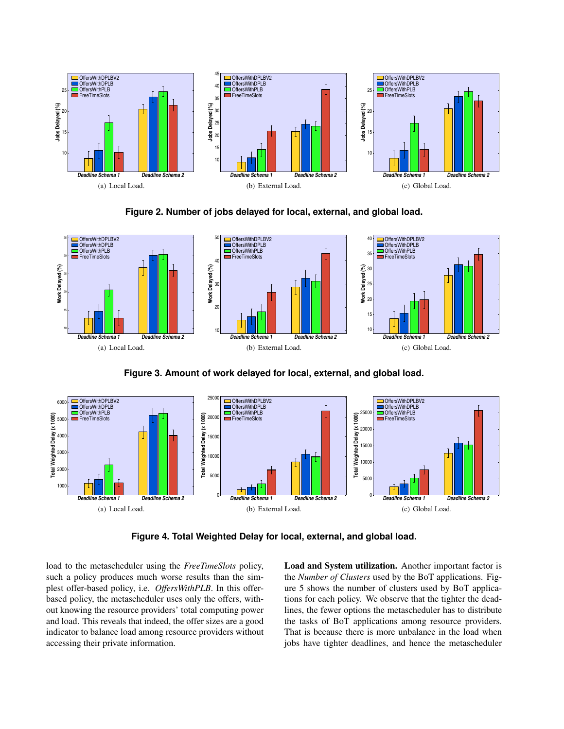

**Figure 2. Number of jobs delayed for local, external, and global load.**



**Figure 3. Amount of work delayed for local, external, and global load.**



**Figure 4. Total Weighted Delay for local, external, and global load.**

load to the metascheduler using the *FreeTimeSlots* policy, such a policy produces much worse results than the simplest offer-based policy, i.e. *OffersWithPLB*. In this offerbased policy, the metascheduler uses only the offers, without knowing the resource providers' total computing power and load. This reveals that indeed, the offer sizes are a good indicator to balance load among resource providers without accessing their private information.

**Load and System utilization.** Another important factor is the *Number of Clusters* used by the BoT applications. Figure 5 shows the number of clusters used by BoT applications for each policy. We observe that the tighter the deadlines, the fewer options the metascheduler has to distribute the tasks of BoT applications among resource providers. That is because there is more unbalance in the load when jobs have tighter deadlines, and hence the metascheduler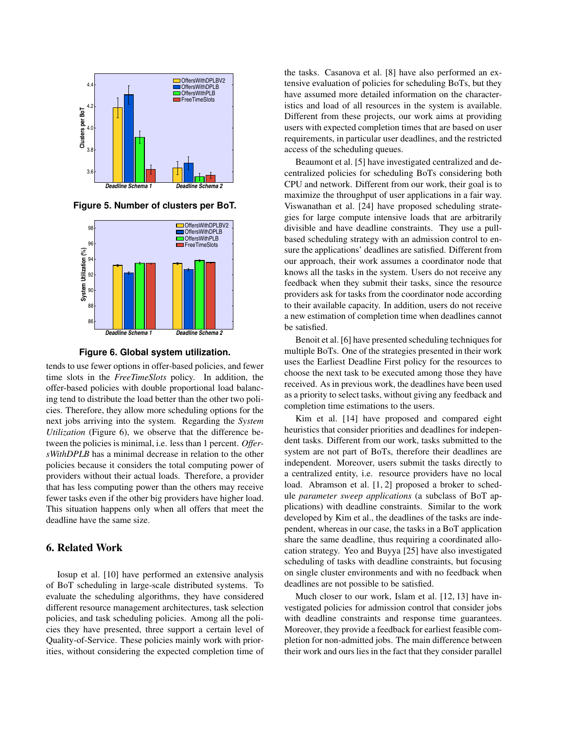

**Figure 5. Number of clusters per BoT.**



**Figure 6. Global system utilization.**

tends to use fewer options in offer-based policies, and fewer time slots in the *FreeTimeSlots* policy. In addition, the offer-based policies with double proportional load balancing tend to distribute the load better than the other two policies. Therefore, they allow more scheduling options for the next jobs arriving into the system. Regarding the *System Utilization* (Figure 6), we observe that the difference between the policies is minimal, i.e. less than 1 percent. *OffersWithDPLB* has a minimal decrease in relation to the other policies because it considers the total computing power of providers without their actual loads. Therefore, a provider that has less computing power than the others may receive fewer tasks even if the other big providers have higher load. This situation happens only when all offers that meet the deadline have the same size.

# **6. Related Work**

Iosup et al. [10] have performed an extensive analysis of BoT scheduling in large-scale distributed systems. To evaluate the scheduling algorithms, they have considered different resource management architectures, task selection policies, and task scheduling policies. Among all the policies they have presented, three support a certain level of Quality-of-Service. These policies mainly work with priorities, without considering the expected completion time of the tasks. Casanova et al. [8] have also performed an extensive evaluation of policies for scheduling BoTs, but they have assumed more detailed information on the characteristics and load of all resources in the system is available. Different from these projects, our work aims at providing users with expected completion times that are based on user requirements, in particular user deadlines, and the restricted access of the scheduling queues.

Beaumont et al. [5] have investigated centralized and decentralized policies for scheduling BoTs considering both CPU and network. Different from our work, their goal is to maximize the throughput of user applications in a fair way. Viswanathan et al. [24] have proposed scheduling strategies for large compute intensive loads that are arbitrarily divisible and have deadline constraints. They use a pullbased scheduling strategy with an admission control to ensure the applications' deadlines are satisfied. Different from our approach, their work assumes a coordinator node that knows all the tasks in the system. Users do not receive any feedback when they submit their tasks, since the resource providers ask for tasks from the coordinator node according to their available capacity. In addition, users do not receive a new estimation of completion time when deadlines cannot be satisfied.

Benoit et al. [6] have presented scheduling techniques for multiple BoTs. One of the strategies presented in their work uses the Earliest Deadline First policy for the resources to choose the next task to be executed among those they have received. As in previous work, the deadlines have been used as a priority to select tasks, without giving any feedback and completion time estimations to the users.

Kim et al. [14] have proposed and compared eight heuristics that consider priorities and deadlines for independent tasks. Different from our work, tasks submitted to the system are not part of BoTs, therefore their deadlines are independent. Moreover, users submit the tasks directly to a centralized entity, i.e. resource providers have no local load. Abramson et al. [1, 2] proposed a broker to schedule *parameter sweep applications* (a subclass of BoT applications) with deadline constraints. Similar to the work developed by Kim et al., the deadlines of the tasks are independent, whereas in our case, the tasks in a BoT application share the same deadline, thus requiring a coordinated allocation strategy. Yeo and Buyya [25] have also investigated scheduling of tasks with deadline constraints, but focusing on single cluster environments and with no feedback when deadlines are not possible to be satisfied.

Much closer to our work, Islam et al. [12, 13] have investigated policies for admission control that consider jobs with deadline constraints and response time guarantees. Moreover, they provide a feedback for earliest feasible completion for non-admitted jobs. The main difference between their work and ours lies in the fact that they consider parallel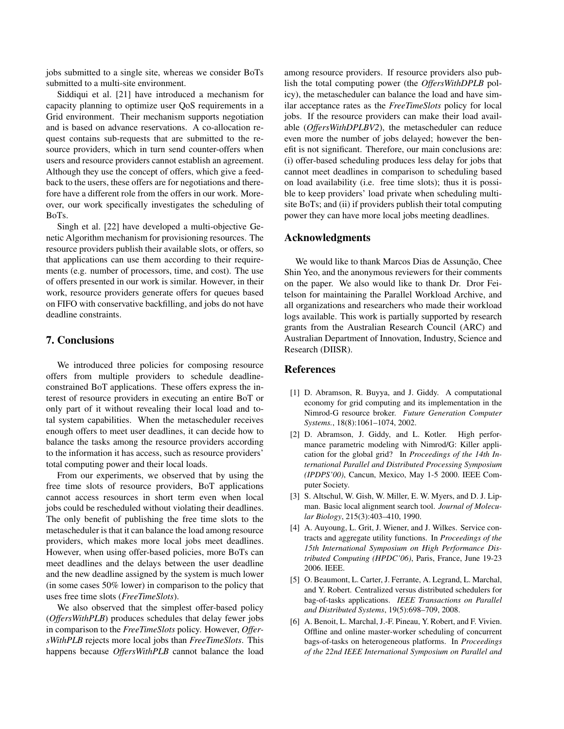jobs submitted to a single site, whereas we consider BoTs submitted to a multi-site environment.

Siddiqui et al. [21] have introduced a mechanism for capacity planning to optimize user QoS requirements in a Grid environment. Their mechanism supports negotiation and is based on advance reservations. A co-allocation request contains sub-requests that are submitted to the resource providers, which in turn send counter-offers when users and resource providers cannot establish an agreement. Although they use the concept of offers, which give a feedback to the users, these offers are for negotiations and therefore have a different role from the offers in our work. Moreover, our work specifically investigates the scheduling of BoTs.

Singh et al. [22] have developed a multi-objective Genetic Algorithm mechanism for provisioning resources. The resource providers publish their available slots, or offers, so that applications can use them according to their requirements (e.g. number of processors, time, and cost). The use of offers presented in our work is similar. However, in their work, resource providers generate offers for queues based on FIFO with conservative backfilling, and jobs do not have deadline constraints.

### **7. Conclusions**

We introduced three policies for composing resource offers from multiple providers to schedule deadlineconstrained BoT applications. These offers express the interest of resource providers in executing an entire BoT or only part of it without revealing their local load and total system capabilities. When the metascheduler receives enough offers to meet user deadlines, it can decide how to balance the tasks among the resource providers according to the information it has access, such as resource providers' total computing power and their local loads.

From our experiments, we observed that by using the free time slots of resource providers, BoT applications cannot access resources in short term even when local jobs could be rescheduled without violating their deadlines. The only benefit of publishing the free time slots to the metascheduler is that it can balance the load among resource providers, which makes more local jobs meet deadlines. However, when using offer-based policies, more BoTs can meet deadlines and the delays between the user deadline and the new deadline assigned by the system is much lower (in some cases 50% lower) in comparison to the policy that uses free time slots (*FreeTimeSlots*).

We also observed that the simplest offer-based policy (*OffersWithPLB*) produces schedules that delay fewer jobs in comparison to the *FreeTimeSlots* policy. However, *OffersWithPLB* rejects more local jobs than *FreeTimeSlots*. This happens because *OffersWithPLB* cannot balance the load among resource providers. If resource providers also publish the total computing power (the *OffersWithDPLB* policy), the metascheduler can balance the load and have similar acceptance rates as the *FreeTimeSlots* policy for local jobs. If the resource providers can make their load available (*OffersWithDPLBV2*), the metascheduler can reduce even more the number of jobs delayed; however the benefit is not significant. Therefore, our main conclusions are: (i) offer-based scheduling produces less delay for jobs that cannot meet deadlines in comparison to scheduling based on load availability (i.e. free time slots); thus it is possible to keep providers' load private when scheduling multisite BoTs; and (ii) if providers publish their total computing power they can have more local jobs meeting deadlines.

#### **Acknowledgments**

We would like to thank Marcos Dias de Assunção, Chee Shin Yeo, and the anonymous reviewers for their comments on the paper. We also would like to thank Dr. Dror Feitelson for maintaining the Parallel Workload Archive, and all organizations and researchers who made their workload logs available. This work is partially supported by research grants from the Australian Research Council (ARC) and Australian Department of Innovation, Industry, Science and Research (DIISR).

## **References**

- [1] D. Abramson, R. Buyya, and J. Giddy. A computational economy for grid computing and its implementation in the Nimrod-G resource broker. *Future Generation Computer Systems.*, 18(8):1061–1074, 2002.
- [2] D. Abramson, J. Giddy, and L. Kotler. High performance parametric modeling with Nimrod/G: Killer application for the global grid? In *Proceedings of the 14th International Parallel and Distributed Processing Symposium (IPDPS'00)*, Cancun, Mexico, May 1-5 2000. IEEE Computer Society.
- [3] S. Altschul, W. Gish, W. Miller, E. W. Myers, and D. J. Lipman. Basic local alignment search tool. *Journal of Molecular Biology*, 215(3):403–410, 1990.
- [4] A. Auyoung, L. Grit, J. Wiener, and J. Wilkes. Service contracts and aggregate utility functions. In *Proceedings of the 15th International Symposium on High Performance Distributed Computing (HPDC'06)*, Paris, France, June 19-23 2006. IEEE.
- [5] O. Beaumont, L. Carter, J. Ferrante, A. Legrand, L. Marchal, and Y. Robert. Centralized versus distributed schedulers for bag-of-tasks applications. *IEEE Transactions on Parallel and Distributed Systems*, 19(5):698–709, 2008.
- [6] A. Benoit, L. Marchal, J.-F. Pineau, Y. Robert, and F. Vivien. Offline and online master-worker scheduling of concurrent bags-of-tasks on heterogeneous platforms. In *Proceedings of the 22nd IEEE International Symposium on Parallel and*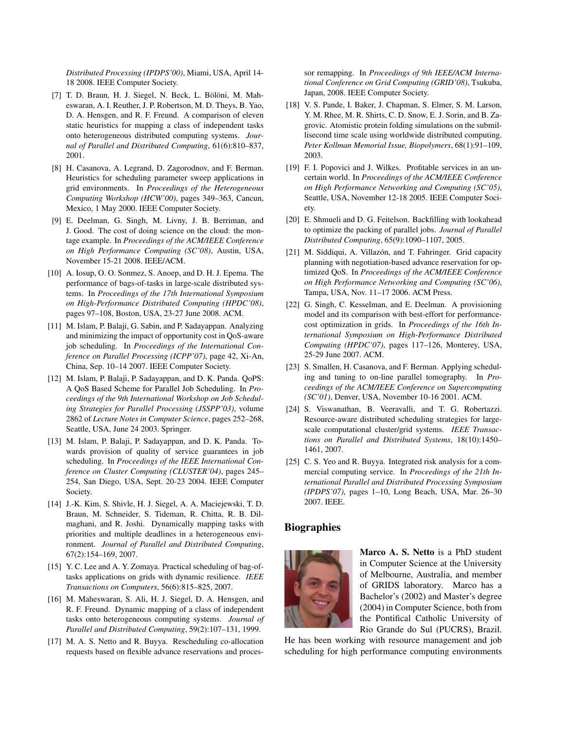*Distributed Processing (IPDPS'00)*, Miami, USA, April 14- 18 2008. IEEE Computer Society.

- [7] T. D. Braun, H. J. Siegel, N. Beck, L. Bölöni, M. Maheswaran, A. I. Reuther, J. P. Robertson, M. D. Theys, B. Yao, D. A. Hensgen, and R. F. Freund. A comparison of eleven static heuristics for mapping a class of independent tasks onto heterogeneous distributed computing systems. *Journal of Parallel and Distributed Computing*, 61(6):810–837, 2001.
- [8] H. Casanova, A. Legrand, D. Zagorodnov, and F. Berman. Heuristics for scheduling parameter sweep applications in grid environments. In *Proceedings of the Heterogeneous Computing Workshop (HCW'00)*, pages 349–363, Cancun, Mexico, 1 May 2000. IEEE Computer Society.
- [9] E. Deelman, G. Singh, M. Livny, J. B. Berriman, and J. Good. The cost of doing science on the cloud: the montage example. In *Proceedings of the ACM/IEEE Conference on High Performance Computing (SC'08)*, Austin, USA, November 15-21 2008. IEEE/ACM.
- [10] A. Iosup, O. O. Sonmez, S. Anoep, and D. H. J. Epema. The performance of bags-of-tasks in large-scale distributed systems. In *Proceedings of the 17th International Symposium on High-Performance Distributed Computing (HPDC'08)*, pages 97–108, Boston, USA, 23-27 June 2008. ACM.
- [11] M. Islam, P. Balaji, G. Sabin, and P. Sadayappan. Analyzing and minimizing the impact of opportunity cost in QoS-aware job scheduling. In *Proceedings of the International Conference on Parallel Processing (ICPP'07)*, page 42, Xi-An, China, Sep. 10–14 2007. IEEE Computer Society.
- [12] M. Islam, P. Balaji, P. Sadayappan, and D. K. Panda. QoPS: A QoS Based Scheme for Parallel Job Scheduling. In *Proceedings of the 9th International Workshop on Job Scheduling Strategies for Parallel Processing (JSSPP'03)*, volume 2862 of *Lecture Notes in Computer Science*, pages 252–268, Seattle, USA, June 24 2003. Springer.
- [13] M. Islam, P. Balaji, P. Sadayappan, and D. K. Panda. Towards provision of quality of service guarantees in job scheduling. In *Proceedings of the IEEE International Conference on Cluster Computing (CLUSTER'04)*, pages 245– 254, San Diego, USA, Sept. 20-23 2004. IEEE Computer Society.
- [14] J.-K. Kim, S. Shivle, H. J. Siegel, A. A. Maciejewski, T. D. Braun, M. Schneider, S. Tideman, R. Chitta, R. B. Dilmaghani, and R. Joshi. Dynamically mapping tasks with priorities and multiple deadlines in a heterogeneous environment. *Journal of Parallel and Distributed Computing*, 67(2):154–169, 2007.
- [15] Y. C. Lee and A. Y. Zomaya. Practical scheduling of bag-oftasks applications on grids with dynamic resilience. *IEEE Transactions on Computers*, 56(6):815–825, 2007.
- [16] M. Maheswaran, S. Ali, H. J. Siegel, D. A. Hensgen, and R. F. Freund. Dynamic mapping of a class of independent tasks onto heterogeneous computing systems. *Journal of Parallel and Distributed Computing*, 59(2):107–131, 1999.
- [17] M. A. S. Netto and R. Buyya. Rescheduling co-allocation requests based on flexible advance reservations and proces-

sor remapping. In *Proceedings of 9th IEEE/ACM International Conference on Grid Computing (GRID'08)*, Tsukuba, Japan, 2008. IEEE Computer Society.

- [18] V. S. Pande, I. Baker, J. Chapman, S. Elmer, S. M. Larson, Y. M. Rhee, M. R. Shirts, C. D. Snow, E. J. Sorin, and B. Zagrovic. Atomistic protein folding simulations on the submillisecond time scale using worldwide distributed computing. *Peter Kollman Memorial Issue, Biopolymers*, 68(1):91–109, 2003.
- [19] F. I. Popovici and J. Wilkes. Profitable services in an uncertain world. In *Proceedings of the ACM/IEEE Conference on High Performance Networking and Computing (SC'05)*, Seattle, USA, November 12-18 2005. IEEE Computer Society.
- [20] E. Shmueli and D. G. Feitelson. Backfilling with lookahead to optimize the packing of parallel jobs. *Journal of Parallel Distributed Computing*, 65(9):1090–1107, 2005.
- [21] M. Siddiqui, A. Villazón, and T. Fahringer. Grid capacity planning with negotiation-based advance reservation for optimized QoS. In *Proceedings of the ACM/IEEE Conference on High Performance Networking and Computing (SC'06)*, Tampa, USA, Nov. 11–17 2006. ACM Press.
- [22] G. Singh, C. Kesselman, and E. Deelman. A provisioning model and its comparison with best-effort for performancecost optimization in grids. In *Proceedings of the 16th International Symposium on High-Performance Distributed Computing (HPDC'07)*, pages 117–126, Monterey, USA, 25-29 June 2007. ACM.
- [23] S. Smallen, H. Casanova, and F. Berman. Applying scheduling and tuning to on-line parallel tomography. In *Proceedings of the ACM/IEEE Conference on Supercomputing (SC'01)*, Denver, USA, November 10-16 2001. ACM.
- [24] S. Viswanathan, B. Veeravalli, and T. G. Robertazzi. Resource-aware distributed scheduling strategies for largescale computational cluster/grid systems. *IEEE Transactions on Parallel and Distributed Systems*, 18(10):1450– 1461, 2007.
- [25] C. S. Yeo and R. Buyya. Integrated risk analysis for a commercial computing service. In *Proceedings of the 21th International Parallel and Distributed Processing Symposium (IPDPS'07)*, pages 1–10, Long Beach, USA, Mar. 26–30 2007. IEEE.

## **Biographies**



**Marco A. S. Netto** is a PhD student in Computer Science at the University of Melbourne, Australia, and member of GRIDS laboratory. Marco has a Bachelor's (2002) and Master's degree (2004) in Computer Science, both from the Pontifical Catholic University of Rio Grande do Sul (PUCRS), Brazil.

He has been working with resource management and job scheduling for high performance computing environments